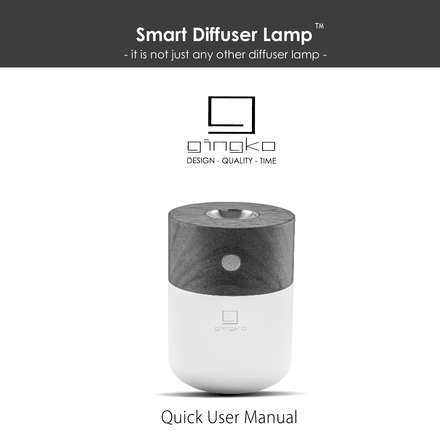#### TM **Smart Diffuser Lamp**

- it is not just any other diffuser lamp -





## Ouick User Manual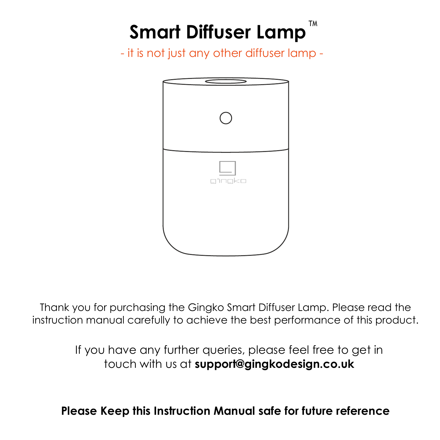# **Smart Diffuser Lamp™**

- it is not just any other diffuser lamp -



Thank you for purchasing the Gingko Smart Diffuser Lamp. Please read the instruction manual carefully to achieve the best performance of this product.

> If you have any further queries, please feel free to get in touch with us at **support@gingkodesign.co.uk**

**Please Keep this Instruction Manual safe for future reference**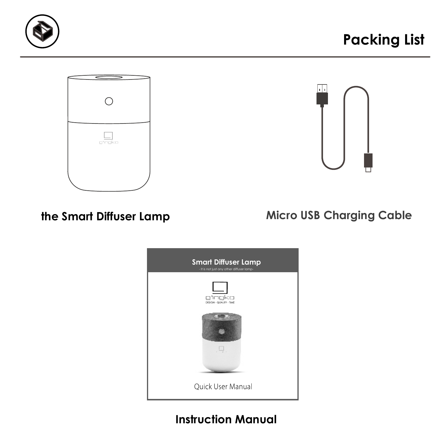





**the Smart Diffuser Lamp Micro USB Charging Cable**



**Instruction Manual**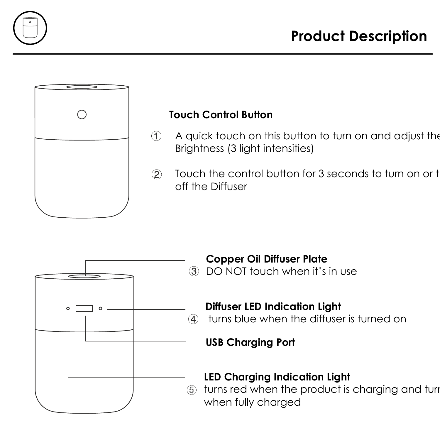



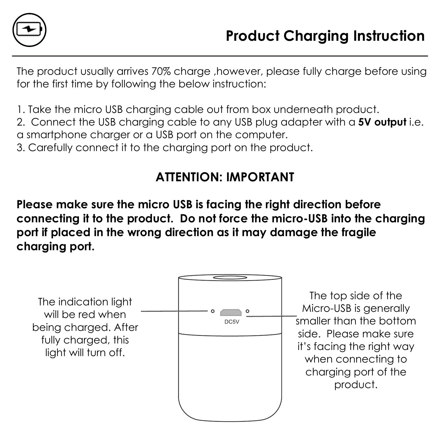

The product usually arrives 70% charge, however, please fully charge before using for the first time by following the below instruction:

1. Take the micro USB charging cable out from box underneath product.

2. Connect the USB charging cable to any USB plug adapter with a **5V output** i.e. a smartphone charger or a USB port on the computer.

3. Carefully connect it to the charging port on the product.

## **ATTENTION: IMPORTANT**

**Please make sure the micro USB is facing the right direction before connecting it to the product. Do not force the micro-USB into the charging port if placed in the wrong direction as it may damage the fragile charging port.**



The top side of the Micro-USB is generally smaller than the bottom side. Please make sure it's facing the right way when connecting to charging port of the product.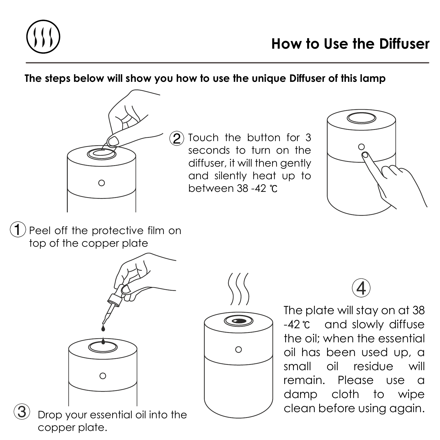

#### **The steps below will show you how to use the unique Diffuser of this lamp**



Touch the button for 3 seconds to turn on the diffuser, it will then gently and silently heat up to between 38 -42



 $(1)$  Peel off the protective film on top of the copper plate



Drop your essential oil into the copper plate.



The plate will stay on at 38 -42<sup>°</sup>C and slowly diffuse the oil; when the essential oil has been used up, a small oil residue will remain. Please use a damp cloth to wipe clean before using again.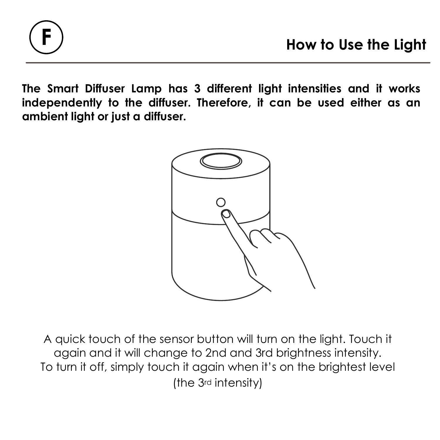**The Smart Diffuser Lamp has 3 different light intensities and it works independently to the diffuser. Therefore, it can be used either as an ambient light or just a diffuser.**



A quick touch of the sensor button will turn on the light. Touch it again and it will change to 2nd and 3rd brightness intensity. To turn it off, simply touch it again when it's on the brightest level (the 3rd intensity)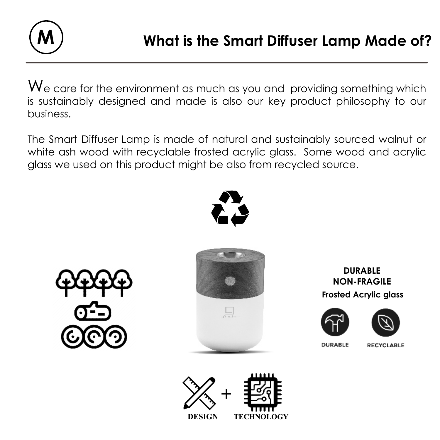

We care for the environment as much as you and providing something which is sustainably designed and made is also our key product philosophy to our business.

The Smart Diffuser Lamp is made of natural and sustainably sourced walnut or white ash wood with recyclable frosted acrylic glass. Some wood and acrylic glass we used on this product might be also from recycled source.







**Frosted Acrylic glass DURABLE NON-FRAGILE**





**NIBARIC** 

**RECYCLARLE** 

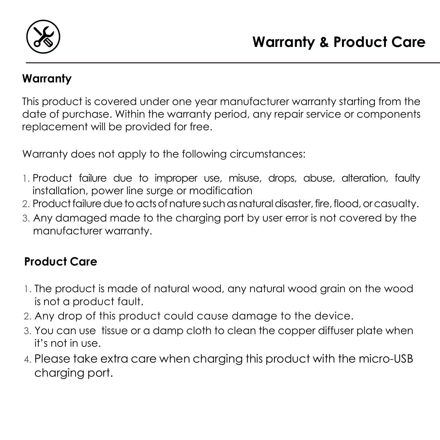

#### **Warranty**

This product is covered under one year manufacturer warranty starting from the date of purchase. Within the warranty period, any repair service or components replacement will be provided for free.

Warranty does not apply to the following circumstances:

- 1. Product failure due to improper use, misuse, drops, abuse, alteration, faulty installation, power line surge or modification
- 2. Product failure due to acts of nature such as natural disaster, fire, flood, orcasualty.
- 3. Any damaged made to the charging port by user error is not covered by the manufacturer warranty.

## **Product Care**

- 1. The product is made of natural wood, any natural wood grain on the wood is not a product fault.
- 2. Any drop of this product could cause damage to the device.
- 3. You can use tissue or a damp cloth to clean the copper diffuser plate when it's not in use.
- 4. Please take extra care when charging this product with the micro-USB charging port.